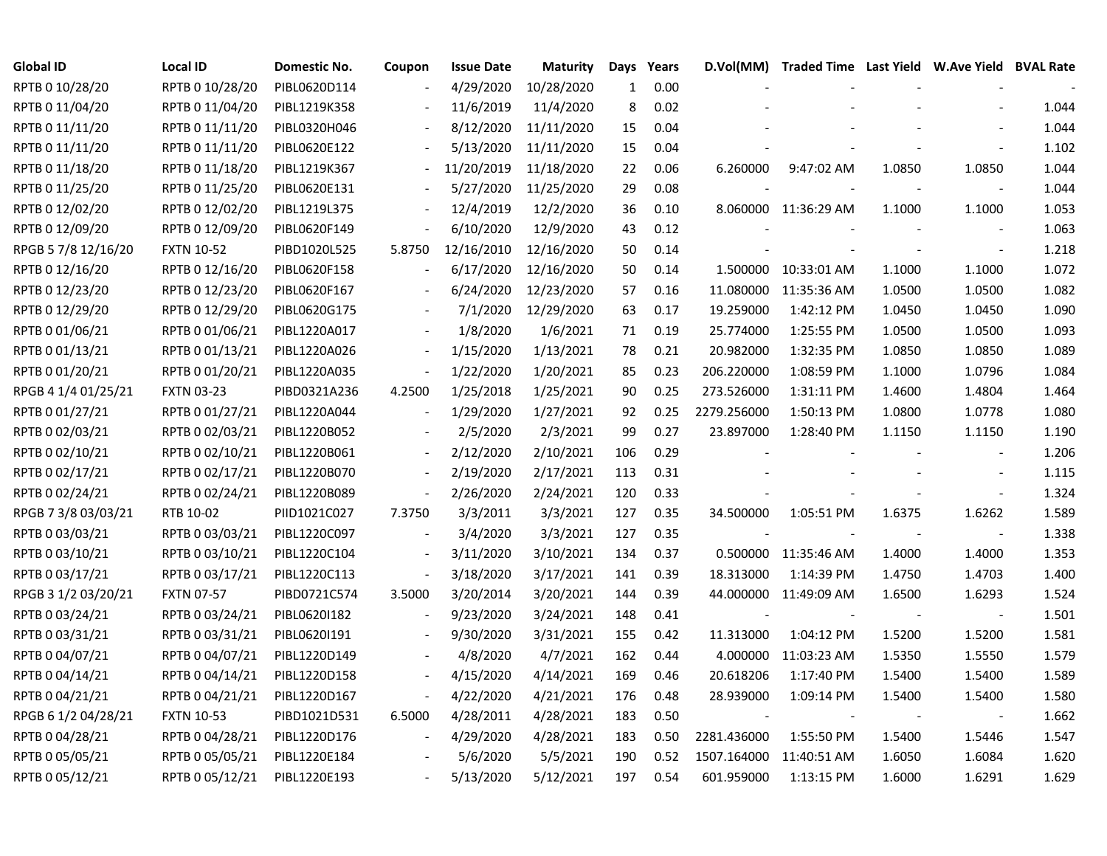| <b>Global ID</b>    | <b>Local ID</b>   | Domestic No. | Coupon                   | <b>Issue Date</b> | <b>Maturity</b> | Days | Years | D.Vol(MM)   | Traded Time Last Yield W.Ave Yield BVAL Rate |        |                          |       |
|---------------------|-------------------|--------------|--------------------------|-------------------|-----------------|------|-------|-------------|----------------------------------------------|--------|--------------------------|-------|
| RPTB 0 10/28/20     | RPTB 0 10/28/20   | PIBL0620D114 |                          | 4/29/2020         | 10/28/2020      | 1    | 0.00  |             |                                              |        |                          |       |
| RPTB 0 11/04/20     | RPTB 0 11/04/20   | PIBL1219K358 |                          | 11/6/2019         | 11/4/2020       | 8    | 0.02  |             |                                              |        |                          | 1.044 |
| RPTB 0 11/11/20     | RPTB 0 11/11/20   | PIBL0320H046 |                          | 8/12/2020         | 11/11/2020      | 15   | 0.04  |             |                                              |        |                          | 1.044 |
| RPTB 0 11/11/20     | RPTB 0 11/11/20   | PIBL0620E122 |                          | 5/13/2020         | 11/11/2020      | 15   | 0.04  |             |                                              |        |                          | 1.102 |
| RPTB 0 11/18/20     | RPTB 0 11/18/20   | PIBL1219K367 |                          | 11/20/2019        | 11/18/2020      | 22   | 0.06  | 6.260000    | 9:47:02 AM                                   | 1.0850 | 1.0850                   | 1.044 |
| RPTB 0 11/25/20     | RPTB 0 11/25/20   | PIBL0620E131 |                          | 5/27/2020         | 11/25/2020      | 29   | 0.08  |             |                                              |        |                          | 1.044 |
| RPTB 0 12/02/20     | RPTB 0 12/02/20   | PIBL1219L375 | $\overline{\phantom{a}}$ | 12/4/2019         | 12/2/2020       | 36   | 0.10  |             | 8.060000 11:36:29 AM                         | 1.1000 | 1.1000                   | 1.053 |
| RPTB 0 12/09/20     | RPTB 0 12/09/20   | PIBL0620F149 | $\overline{\phantom{a}}$ | 6/10/2020         | 12/9/2020       | 43   | 0.12  |             |                                              |        | $\blacksquare$           | 1.063 |
| RPGB 5 7/8 12/16/20 | <b>FXTN 10-52</b> | PIBD1020L525 | 5.8750                   | 12/16/2010        | 12/16/2020      | 50   | 0.14  |             |                                              |        | $\overline{\phantom{a}}$ | 1.218 |
| RPTB 0 12/16/20     | RPTB 0 12/16/20   | PIBL0620F158 |                          | 6/17/2020         | 12/16/2020      | 50   | 0.14  |             | 1.500000 10:33:01 AM                         | 1.1000 | 1.1000                   | 1.072 |
| RPTB 0 12/23/20     | RPTB 0 12/23/20   | PIBL0620F167 |                          | 6/24/2020         | 12/23/2020      | 57   | 0.16  | 11.080000   | 11:35:36 AM                                  | 1.0500 | 1.0500                   | 1.082 |
| RPTB 0 12/29/20     | RPTB 0 12/29/20   | PIBL0620G175 |                          | 7/1/2020          | 12/29/2020      | 63   | 0.17  | 19.259000   | 1:42:12 PM                                   | 1.0450 | 1.0450                   | 1.090 |
| RPTB 0 01/06/21     | RPTB 0 01/06/21   | PIBL1220A017 |                          | 1/8/2020          | 1/6/2021        | 71   | 0.19  | 25.774000   | 1:25:55 PM                                   | 1.0500 | 1.0500                   | 1.093 |
| RPTB 0 01/13/21     | RPTB 0 01/13/21   | PIBL1220A026 |                          | 1/15/2020         | 1/13/2021       | 78   | 0.21  | 20.982000   | 1:32:35 PM                                   | 1.0850 | 1.0850                   | 1.089 |
| RPTB 0 01/20/21     | RPTB 0 01/20/21   | PIBL1220A035 |                          | 1/22/2020         | 1/20/2021       | 85   | 0.23  | 206.220000  | 1:08:59 PM                                   | 1.1000 | 1.0796                   | 1.084 |
| RPGB 4 1/4 01/25/21 | <b>FXTN 03-23</b> | PIBD0321A236 | 4.2500                   | 1/25/2018         | 1/25/2021       | 90   | 0.25  | 273.526000  | 1:31:11 PM                                   | 1.4600 | 1.4804                   | 1.464 |
| RPTB 0 01/27/21     | RPTB 0 01/27/21   | PIBL1220A044 |                          | 1/29/2020         | 1/27/2021       | 92   | 0.25  | 2279.256000 | 1:50:13 PM                                   | 1.0800 | 1.0778                   | 1.080 |
| RPTB 0 02/03/21     | RPTB 0 02/03/21   | PIBL1220B052 |                          | 2/5/2020          | 2/3/2021        | 99   | 0.27  | 23.897000   | 1:28:40 PM                                   | 1.1150 | 1.1150                   | 1.190 |
| RPTB 0 02/10/21     | RPTB 0 02/10/21   | PIBL1220B061 | $\overline{\phantom{a}}$ | 2/12/2020         | 2/10/2021       | 106  | 0.29  |             |                                              |        | $\overline{\phantom{a}}$ | 1.206 |
| RPTB 0 02/17/21     | RPTB 0 02/17/21   | PIBL1220B070 | $\overline{\phantom{a}}$ | 2/19/2020         | 2/17/2021       | 113  | 0.31  |             |                                              |        |                          | 1.115 |
| RPTB 0 02/24/21     | RPTB 0 02/24/21   | PIBL1220B089 | $\overline{\phantom{a}}$ | 2/26/2020         | 2/24/2021       | 120  | 0.33  |             |                                              |        | $\overline{\phantom{a}}$ | 1.324 |
| RPGB 7 3/8 03/03/21 | RTB 10-02         | PIID1021C027 | 7.3750                   | 3/3/2011          | 3/3/2021        | 127  | 0.35  | 34.500000   | 1:05:51 PM                                   | 1.6375 | 1.6262                   | 1.589 |
| RPTB 0 03/03/21     | RPTB 0 03/03/21   | PIBL1220C097 |                          | 3/4/2020          | 3/3/2021        | 127  | 0.35  |             |                                              |        | $\overline{\phantom{a}}$ | 1.338 |
| RPTB 0 03/10/21     | RPTB 0 03/10/21   | PIBL1220C104 | $\sim$                   | 3/11/2020         | 3/10/2021       | 134  | 0.37  | 0.500000    | 11:35:46 AM                                  | 1.4000 | 1.4000                   | 1.353 |
| RPTB 0 03/17/21     | RPTB 0 03/17/21   | PIBL1220C113 | $\overline{\phantom{a}}$ | 3/18/2020         | 3/17/2021       | 141  | 0.39  | 18.313000   | 1:14:39 PM                                   | 1.4750 | 1.4703                   | 1.400 |
| RPGB 3 1/2 03/20/21 | <b>FXTN 07-57</b> | PIBD0721C574 | 3.5000                   | 3/20/2014         | 3/20/2021       | 144  | 0.39  | 44.000000   | 11:49:09 AM                                  | 1.6500 | 1.6293                   | 1.524 |
| RPTB 0 03/24/21     | RPTB 0 03/24/21   | PIBL0620I182 | $\overline{\phantom{a}}$ | 9/23/2020         | 3/24/2021       | 148  | 0.41  |             |                                              |        | $\overline{\phantom{a}}$ | 1.501 |
| RPTB 0 03/31/21     | RPTB 0 03/31/21   | PIBL0620I191 |                          | 9/30/2020         | 3/31/2021       | 155  | 0.42  | 11.313000   | 1:04:12 PM                                   | 1.5200 | 1.5200                   | 1.581 |
| RPTB 0 04/07/21     | RPTB 0 04/07/21   | PIBL1220D149 |                          | 4/8/2020          | 4/7/2021        | 162  | 0.44  | 4.000000    | 11:03:23 AM                                  | 1.5350 | 1.5550                   | 1.579 |
| RPTB 0 04/14/21     | RPTB 0 04/14/21   | PIBL1220D158 | $\overline{\phantom{a}}$ | 4/15/2020         | 4/14/2021       | 169  | 0.46  | 20.618206   | 1:17:40 PM                                   | 1.5400 | 1.5400                   | 1.589 |
| RPTB 0 04/21/21     | RPTB 0 04/21/21   | PIBL1220D167 | $\overline{\phantom{a}}$ | 4/22/2020         | 4/21/2021       | 176  | 0.48  | 28.939000   | 1:09:14 PM                                   | 1.5400 | 1.5400                   | 1.580 |
| RPGB 6 1/2 04/28/21 | <b>FXTN 10-53</b> | PIBD1021D531 | 6.5000                   | 4/28/2011         | 4/28/2021       | 183  | 0.50  |             |                                              |        | $\blacksquare$           | 1.662 |
| RPTB 0 04/28/21     | RPTB 0 04/28/21   | PIBL1220D176 | $\blacksquare$           | 4/29/2020         | 4/28/2021       | 183  | 0.50  | 2281.436000 | 1:55:50 PM                                   | 1.5400 | 1.5446                   | 1.547 |
| RPTB 0 05/05/21     | RPTB 0 05/05/21   | PIBL1220E184 |                          | 5/6/2020          | 5/5/2021        | 190  | 0.52  | 1507.164000 | 11:40:51 AM                                  | 1.6050 | 1.6084                   | 1.620 |
| RPTB 0 05/12/21     | RPTB 0 05/12/21   | PIBL1220E193 |                          | 5/13/2020         | 5/12/2021       | 197  | 0.54  | 601.959000  | 1:13:15 PM                                   | 1.6000 | 1.6291                   | 1.629 |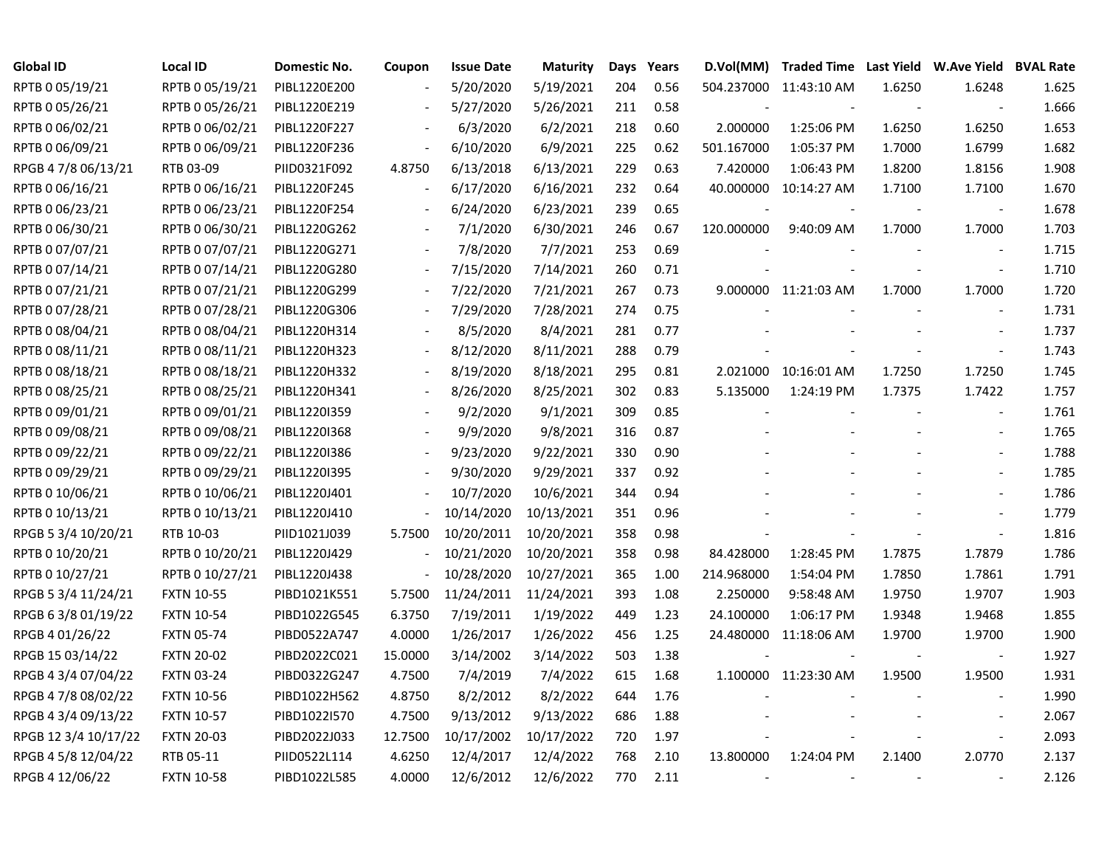| <b>Global ID</b>     | <b>Local ID</b>   | Domestic No. | Coupon                   | <b>Issue Date</b> | <b>Maturity</b> | Days | Years | D.Vol(MM)                | Traded Time Last Yield W.Ave Yield BVAL Rate |                          |                          |       |
|----------------------|-------------------|--------------|--------------------------|-------------------|-----------------|------|-------|--------------------------|----------------------------------------------|--------------------------|--------------------------|-------|
| RPTB 0 05/19/21      | RPTB 0 05/19/21   | PIBL1220E200 |                          | 5/20/2020         | 5/19/2021       | 204  | 0.56  |                          | 504.237000 11:43:10 AM                       | 1.6250                   | 1.6248                   | 1.625 |
| RPTB 0 05/26/21      | RPTB 0 05/26/21   | PIBL1220E219 |                          | 5/27/2020         | 5/26/2021       | 211  | 0.58  |                          |                                              |                          |                          | 1.666 |
| RPTB 0 06/02/21      | RPTB 0 06/02/21   | PIBL1220F227 |                          | 6/3/2020          | 6/2/2021        | 218  | 0.60  | 2.000000                 | 1:25:06 PM                                   | 1.6250                   | 1.6250                   | 1.653 |
| RPTB 0 06/09/21      | RPTB 0 06/09/21   | PIBL1220F236 | $\overline{\phantom{a}}$ | 6/10/2020         | 6/9/2021        | 225  | 0.62  | 501.167000               | 1:05:37 PM                                   | 1.7000                   | 1.6799                   | 1.682 |
| RPGB 4 7/8 06/13/21  | RTB 03-09         | PIID0321F092 | 4.8750                   | 6/13/2018         | 6/13/2021       | 229  | 0.63  | 7.420000                 | 1:06:43 PM                                   | 1.8200                   | 1.8156                   | 1.908 |
| RPTB 0 06/16/21      | RPTB 0 06/16/21   | PIBL1220F245 | $\overline{\phantom{a}}$ | 6/17/2020         | 6/16/2021       | 232  | 0.64  |                          | 40.000000 10:14:27 AM                        | 1.7100                   | 1.7100                   | 1.670 |
| RPTB 0 06/23/21      | RPTB 0 06/23/21   | PIBL1220F254 |                          | 6/24/2020         | 6/23/2021       | 239  | 0.65  |                          |                                              |                          | $\overline{\phantom{a}}$ | 1.678 |
| RPTB 0 06/30/21      | RPTB 0 06/30/21   | PIBL1220G262 |                          | 7/1/2020          | 6/30/2021       | 246  | 0.67  | 120.000000               | 9:40:09 AM                                   | 1.7000                   | 1.7000                   | 1.703 |
| RPTB 0 07/07/21      | RPTB 0 07/07/21   | PIBL1220G271 |                          | 7/8/2020          | 7/7/2021        | 253  | 0.69  |                          |                                              |                          |                          | 1.715 |
| RPTB 0 07/14/21      | RPTB 0 07/14/21   | PIBL1220G280 |                          | 7/15/2020         | 7/14/2021       | 260  | 0.71  |                          |                                              | $\blacksquare$           | $\overline{\phantom{a}}$ | 1.710 |
| RPTB 0 07/21/21      | RPTB 0 07/21/21   | PIBL1220G299 |                          | 7/22/2020         | 7/21/2021       | 267  | 0.73  |                          | 9.000000 11:21:03 AM                         | 1.7000                   | 1.7000                   | 1.720 |
| RPTB 0 07/28/21      | RPTB 0 07/28/21   | PIBL1220G306 |                          | 7/29/2020         | 7/28/2021       | 274  | 0.75  |                          |                                              |                          | $\blacksquare$           | 1.731 |
| RPTB 0 08/04/21      | RPTB 0 08/04/21   | PIBL1220H314 |                          | 8/5/2020          | 8/4/2021        | 281  | 0.77  |                          |                                              |                          |                          | 1.737 |
| RPTB 0 08/11/21      | RPTB 0 08/11/21   | PIBL1220H323 |                          | 8/12/2020         | 8/11/2021       | 288  | 0.79  |                          |                                              |                          |                          | 1.743 |
| RPTB 0 08/18/21      | RPTB 0 08/18/21   | PIBL1220H332 |                          | 8/19/2020         | 8/18/2021       | 295  | 0.81  |                          | 2.021000 10:16:01 AM                         | 1.7250                   | 1.7250                   | 1.745 |
| RPTB 0 08/25/21      | RPTB 0 08/25/21   | PIBL1220H341 |                          | 8/26/2020         | 8/25/2021       | 302  | 0.83  | 5.135000                 | 1:24:19 PM                                   | 1.7375                   | 1.7422                   | 1.757 |
| RPTB 0 09/01/21      | RPTB 0 09/01/21   | PIBL1220I359 |                          | 9/2/2020          | 9/1/2021        | 309  | 0.85  |                          |                                              |                          | $\overline{\phantom{a}}$ | 1.761 |
| RPTB 0 09/08/21      | RPTB 0 09/08/21   | PIBL1220I368 | $\blacksquare$           | 9/9/2020          | 9/8/2021        | 316  | 0.87  |                          |                                              |                          |                          | 1.765 |
| RPTB 0 09/22/21      | RPTB 0 09/22/21   | PIBL1220I386 | $\overline{\phantom{a}}$ | 9/23/2020         | 9/22/2021       | 330  | 0.90  |                          |                                              |                          | $\blacksquare$           | 1.788 |
| RPTB 0 09/29/21      | RPTB 0 09/29/21   | PIBL1220I395 | $\blacksquare$           | 9/30/2020         | 9/29/2021       | 337  | 0.92  |                          |                                              |                          | $\blacksquare$           | 1.785 |
| RPTB 0 10/06/21      | RPTB 0 10/06/21   | PIBL1220J401 |                          | 10/7/2020         | 10/6/2021       | 344  | 0.94  |                          |                                              |                          |                          | 1.786 |
| RPTB 0 10/13/21      | RPTB 0 10/13/21   | PIBL1220J410 |                          | 10/14/2020        | 10/13/2021      | 351  | 0.96  |                          |                                              |                          |                          | 1.779 |
| RPGB 5 3/4 10/20/21  | RTB 10-03         | PIID1021J039 | 5.7500                   | 10/20/2011        | 10/20/2021      | 358  | 0.98  |                          |                                              |                          | $\blacksquare$           | 1.816 |
| RPTB 0 10/20/21      | RPTB 0 10/20/21   | PIBL1220J429 | $\overline{\phantom{a}}$ | 10/21/2020        | 10/20/2021      | 358  | 0.98  | 84.428000                | 1:28:45 PM                                   | 1.7875                   | 1.7879                   | 1.786 |
| RPTB 0 10/27/21      | RPTB 0 10/27/21   | PIBL1220J438 | $\overline{\phantom{0}}$ | 10/28/2020        | 10/27/2021      | 365  | 1.00  | 214.968000               | 1:54:04 PM                                   | 1.7850                   | 1.7861                   | 1.791 |
| RPGB 5 3/4 11/24/21  | <b>FXTN 10-55</b> | PIBD1021K551 | 5.7500                   | 11/24/2011        | 11/24/2021      | 393  | 1.08  | 2.250000                 | 9:58:48 AM                                   | 1.9750                   | 1.9707                   | 1.903 |
| RPGB 6 3/8 01/19/22  | <b>FXTN 10-54</b> | PIBD1022G545 | 6.3750                   | 7/19/2011         | 1/19/2022       | 449  | 1.23  | 24.100000                | 1:06:17 PM                                   | 1.9348                   | 1.9468                   | 1.855 |
| RPGB 4 01/26/22      | <b>FXTN 05-74</b> | PIBD0522A747 | 4.0000                   | 1/26/2017         | 1/26/2022       | 456  | 1.25  |                          | 24.480000 11:18:06 AM                        | 1.9700                   | 1.9700                   | 1.900 |
| RPGB 15 03/14/22     | <b>FXTN 20-02</b> | PIBD2022C021 | 15.0000                  | 3/14/2002         | 3/14/2022       | 503  | 1.38  |                          |                                              |                          |                          | 1.927 |
| RPGB 4 3/4 07/04/22  | <b>FXTN 03-24</b> | PIBD0322G247 | 4.7500                   | 7/4/2019          | 7/4/2022        | 615  | 1.68  |                          | 1.100000 11:23:30 AM                         | 1.9500                   | 1.9500                   | 1.931 |
| RPGB 4 7/8 08/02/22  | <b>FXTN 10-56</b> | PIBD1022H562 | 4.8750                   | 8/2/2012          | 8/2/2022        | 644  | 1.76  |                          |                                              |                          |                          | 1.990 |
| RPGB 4 3/4 09/13/22  | <b>FXTN 10-57</b> | PIBD1022I570 | 4.7500                   | 9/13/2012         | 9/13/2022       | 686  | 1.88  |                          |                                              |                          |                          | 2.067 |
| RPGB 12 3/4 10/17/22 | <b>FXTN 20-03</b> | PIBD2022J033 | 12.7500                  | 10/17/2002        | 10/17/2022      | 720  | 1.97  |                          |                                              |                          | $\overline{\phantom{a}}$ | 2.093 |
| RPGB 4 5/8 12/04/22  | RTB 05-11         | PIID0522L114 | 4.6250                   | 12/4/2017         | 12/4/2022       | 768  | 2.10  | 13.800000                | 1:24:04 PM                                   | 2.1400                   | 2.0770                   | 2.137 |
| RPGB 4 12/06/22      | <b>FXTN 10-58</b> | PIBD1022L585 | 4.0000                   | 12/6/2012         | 12/6/2022       | 770  | 2.11  | $\overline{\phantom{a}}$ |                                              | $\overline{\phantom{a}}$ |                          | 2.126 |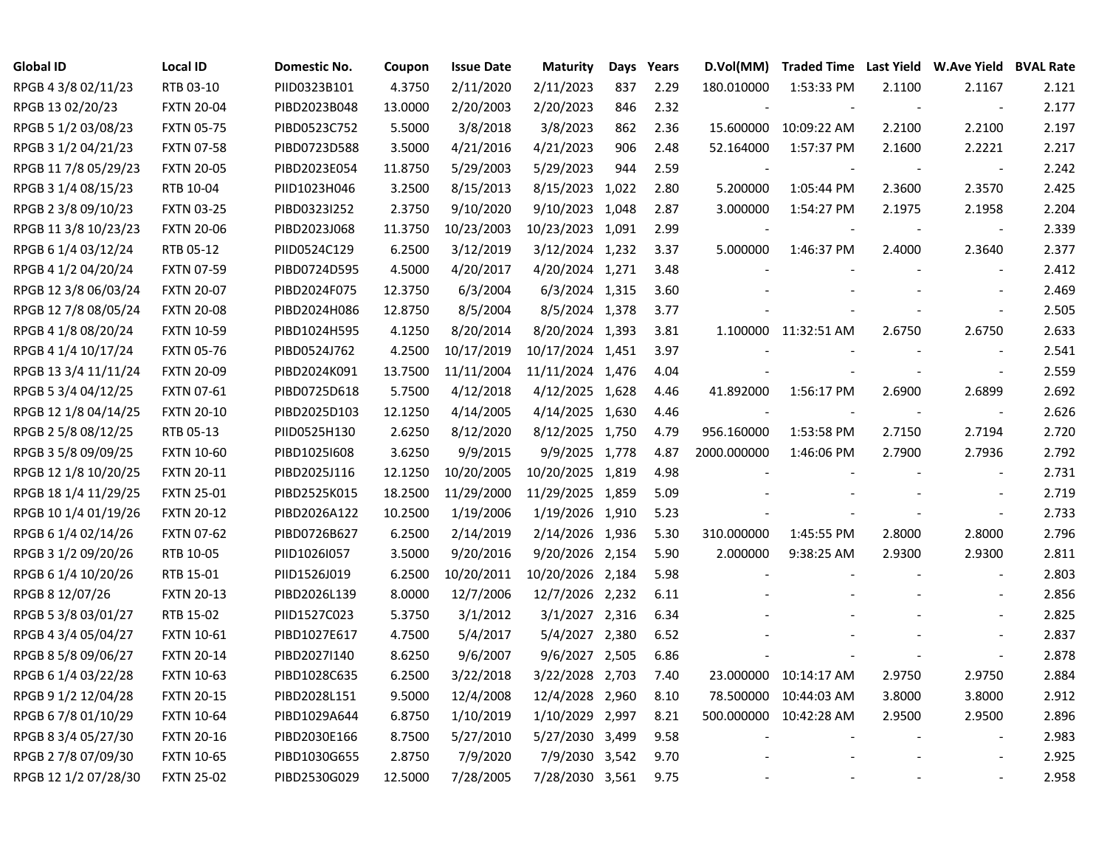| <b>Global ID</b>     | <b>Local ID</b>   | Domestic No. | Coupon  | <b>Issue Date</b> | <b>Maturity</b>  | Days | Years | D.Vol(MM)   |                        |        | Traded Time Last Yield W.Ave Yield BVAL Rate |       |
|----------------------|-------------------|--------------|---------|-------------------|------------------|------|-------|-------------|------------------------|--------|----------------------------------------------|-------|
| RPGB 4 3/8 02/11/23  | RTB 03-10         | PIID0323B101 | 4.3750  | 2/11/2020         | 2/11/2023        | 837  | 2.29  | 180.010000  | 1:53:33 PM             | 2.1100 | 2.1167                                       | 2.121 |
| RPGB 13 02/20/23     | <b>FXTN 20-04</b> | PIBD2023B048 | 13.0000 | 2/20/2003         | 2/20/2023        | 846  | 2.32  |             |                        |        | $\overline{\phantom{a}}$                     | 2.177 |
| RPGB 5 1/2 03/08/23  | <b>FXTN 05-75</b> | PIBD0523C752 | 5.5000  | 3/8/2018          | 3/8/2023         | 862  | 2.36  | 15.600000   | 10:09:22 AM            | 2.2100 | 2.2100                                       | 2.197 |
| RPGB 3 1/2 04/21/23  | <b>FXTN 07-58</b> | PIBD0723D588 | 3.5000  | 4/21/2016         | 4/21/2023        | 906  | 2.48  | 52.164000   | 1:57:37 PM             | 2.1600 | 2.2221                                       | 2.217 |
| RPGB 117/8 05/29/23  | <b>FXTN 20-05</b> | PIBD2023E054 | 11.8750 | 5/29/2003         | 5/29/2023        | 944  | 2.59  |             |                        |        | $\blacksquare$                               | 2.242 |
| RPGB 3 1/4 08/15/23  | RTB 10-04         | PIID1023H046 | 3.2500  | 8/15/2013         | 8/15/2023 1,022  |      | 2.80  | 5.200000    | 1:05:44 PM             | 2.3600 | 2.3570                                       | 2.425 |
| RPGB 2 3/8 09/10/23  | <b>FXTN 03-25</b> | PIBD0323I252 | 2.3750  | 9/10/2020         | 9/10/2023 1,048  |      | 2.87  | 3.000000    | 1:54:27 PM             | 2.1975 | 2.1958                                       | 2.204 |
| RPGB 11 3/8 10/23/23 | <b>FXTN 20-06</b> | PIBD2023J068 | 11.3750 | 10/23/2003        | 10/23/2023 1,091 |      | 2.99  |             |                        |        | $\overline{\phantom{a}}$                     | 2.339 |
| RPGB 6 1/4 03/12/24  | RTB 05-12         | PIID0524C129 | 6.2500  | 3/12/2019         | 3/12/2024 1,232  |      | 3.37  | 5.000000    | 1:46:37 PM             | 2.4000 | 2.3640                                       | 2.377 |
| RPGB 4 1/2 04/20/24  | <b>FXTN 07-59</b> | PIBD0724D595 | 4.5000  | 4/20/2017         | 4/20/2024 1,271  |      | 3.48  |             |                        |        | $\overline{\phantom{a}}$                     | 2.412 |
| RPGB 12 3/8 06/03/24 | <b>FXTN 20-07</b> | PIBD2024F075 | 12.3750 | 6/3/2004          | 6/3/2024 1,315   |      | 3.60  |             |                        |        | $\overline{\phantom{a}}$                     | 2.469 |
| RPGB 12 7/8 08/05/24 | <b>FXTN 20-08</b> | PIBD2024H086 | 12.8750 | 8/5/2004          | 8/5/2024 1,378   |      | 3.77  |             |                        |        | $\overline{\phantom{a}}$                     | 2.505 |
| RPGB 4 1/8 08/20/24  | <b>FXTN 10-59</b> | PIBD1024H595 | 4.1250  | 8/20/2014         | 8/20/2024 1,393  |      | 3.81  |             | 1.100000 11:32:51 AM   | 2.6750 | 2.6750                                       | 2.633 |
| RPGB 4 1/4 10/17/24  | <b>FXTN 05-76</b> | PIBD0524J762 | 4.2500  | 10/17/2019        | 10/17/2024 1,451 |      | 3.97  |             |                        |        |                                              | 2.541 |
| RPGB 13 3/4 11/11/24 | <b>FXTN 20-09</b> | PIBD2024K091 | 13.7500 | 11/11/2004        | 11/11/2024 1,476 |      | 4.04  |             |                        |        | $\sim$                                       | 2.559 |
| RPGB 5 3/4 04/12/25  | <b>FXTN 07-61</b> | PIBD0725D618 | 5.7500  | 4/12/2018         | 4/12/2025 1,628  |      | 4.46  | 41.892000   | 1:56:17 PM             | 2.6900 | 2.6899                                       | 2.692 |
| RPGB 12 1/8 04/14/25 | <b>FXTN 20-10</b> | PIBD2025D103 | 12.1250 | 4/14/2005         | 4/14/2025 1,630  |      | 4.46  |             |                        |        | $\overline{\phantom{a}}$                     | 2.626 |
| RPGB 2 5/8 08/12/25  | RTB 05-13         | PIID0525H130 | 2.6250  | 8/12/2020         | 8/12/2025 1,750  |      | 4.79  | 956.160000  | 1:53:58 PM             | 2.7150 | 2.7194                                       | 2.720 |
| RPGB 3 5/8 09/09/25  | <b>FXTN 10-60</b> | PIBD1025I608 | 3.6250  | 9/9/2015          | 9/9/2025 1,778   |      | 4.87  | 2000.000000 | 1:46:06 PM             | 2.7900 | 2.7936                                       | 2.792 |
| RPGB 12 1/8 10/20/25 | <b>FXTN 20-11</b> | PIBD2025J116 | 12.1250 | 10/20/2005        | 10/20/2025 1,819 |      | 4.98  |             |                        |        | $\overline{\phantom{a}}$                     | 2.731 |
| RPGB 18 1/4 11/29/25 | <b>FXTN 25-01</b> | PIBD2525K015 | 18.2500 | 11/29/2000        | 11/29/2025 1,859 |      | 5.09  |             |                        |        |                                              | 2.719 |
| RPGB 10 1/4 01/19/26 | <b>FXTN 20-12</b> | PIBD2026A122 | 10.2500 | 1/19/2006         | 1/19/2026 1,910  |      | 5.23  |             |                        |        | $\overline{\phantom{a}}$                     | 2.733 |
| RPGB 6 1/4 02/14/26  | <b>FXTN 07-62</b> | PIBD0726B627 | 6.2500  | 2/14/2019         | 2/14/2026 1,936  |      | 5.30  | 310.000000  | 1:45:55 PM             | 2.8000 | 2.8000                                       | 2.796 |
| RPGB 3 1/2 09/20/26  | RTB 10-05         | PIID1026I057 | 3.5000  | 9/20/2016         | 9/20/2026 2,154  |      | 5.90  | 2.000000    | 9:38:25 AM             | 2.9300 | 2.9300                                       | 2.811 |
| RPGB 6 1/4 10/20/26  | RTB 15-01         | PIID1526J019 | 6.2500  | 10/20/2011        | 10/20/2026 2,184 |      | 5.98  |             |                        |        | $\sim$                                       | 2.803 |
| RPGB 8 12/07/26      | <b>FXTN 20-13</b> | PIBD2026L139 | 8.0000  | 12/7/2006         | 12/7/2026 2,232  |      | 6.11  |             |                        |        | $\sim$                                       | 2.856 |
| RPGB 5 3/8 03/01/27  | RTB 15-02         | PIID1527C023 | 5.3750  | 3/1/2012          | 3/1/2027 2,316   |      | 6.34  |             |                        |        | $\blacksquare$                               | 2.825 |
| RPGB 4 3/4 05/04/27  | <b>FXTN 10-61</b> | PIBD1027E617 | 4.7500  | 5/4/2017          | 5/4/2027 2,380   |      | 6.52  |             |                        |        |                                              | 2.837 |
| RPGB 8 5/8 09/06/27  | <b>FXTN 20-14</b> | PIBD2027I140 | 8.6250  | 9/6/2007          | 9/6/2027 2,505   |      | 6.86  |             |                        |        | $\overline{\phantom{a}}$                     | 2.878 |
| RPGB 6 1/4 03/22/28  | <b>FXTN 10-63</b> | PIBD1028C635 | 6.2500  | 3/22/2018         | 3/22/2028 2,703  |      | 7.40  | 23.000000   | 10:14:17 AM            | 2.9750 | 2.9750                                       | 2.884 |
| RPGB 9 1/2 12/04/28  | <b>FXTN 20-15</b> | PIBD2028L151 | 9.5000  | 12/4/2008         | 12/4/2028 2,960  |      | 8.10  | 78.500000   | 10:44:03 AM            | 3.8000 | 3.8000                                       | 2.912 |
| RPGB 6 7/8 01/10/29  | <b>FXTN 10-64</b> | PIBD1029A644 | 6.8750  | 1/10/2019         | 1/10/2029 2,997  |      | 8.21  |             | 500.000000 10:42:28 AM | 2.9500 | 2.9500                                       | 2.896 |
| RPGB 8 3/4 05/27/30  | <b>FXTN 20-16</b> | PIBD2030E166 | 8.7500  | 5/27/2010         | 5/27/2030 3,499  |      | 9.58  |             |                        |        | $\overline{\phantom{a}}$                     | 2.983 |
| RPGB 2 7/8 07/09/30  | <b>FXTN 10-65</b> | PIBD1030G655 | 2.8750  | 7/9/2020          | 7/9/2030 3,542   |      | 9.70  |             |                        |        |                                              | 2.925 |
| RPGB 12 1/2 07/28/30 | <b>FXTN 25-02</b> | PIBD2530G029 | 12.5000 | 7/28/2005         | 7/28/2030 3,561  |      | 9.75  |             |                        |        |                                              | 2.958 |